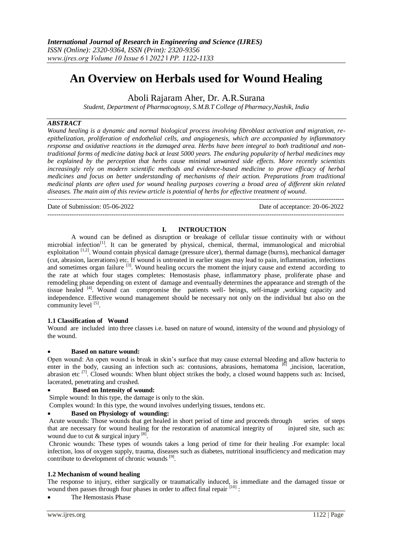# **An Overview on Herbals used for Wound Healing**

Aboli Rajaram Aher, Dr. A.R.Surana

*Student, Department of Pharmacognosy, S.M.B.T College of Pharmacy,Nashik, India*

# *ABSTRACT*

*Wound healing is a dynamic and normal biological process involving fibroblast activation and migration, reepithelization, proliferation of endothelial cells, and angiogenesis, which are accompanied by inflammatory response and oxidative reactions in the damaged area. Herbs have been integral to both traditional and nontraditional forms of medicine dating back at least 5000 years. The enduring popularity of herbal medicines may be explained by the perception that herbs cause minimal unwanted side effects. More recently scientists increasingly rely on modern scientific methods and evidence-based medicine to prove efficacy of herbal medicines and focus on better understanding of mechanisms of their action. Preparations from traditional medicinal plants are often used for wound healing purposes covering a broad area of different skin related diseases. The main aim of this review article is potential of herbs for effective treatment of wound.* ---------------------------------------------------------------------------------------------------------------------------------------

 $-1-\frac{1}{2}$ 

Date of Submission: 05-06-2022 Date of acceptance: 20-06-2022

## **I. INTROUCTION**

A wound can be defined as disruption or breakage of cellular tissue continuity with or without microbial infection<sup>[1]</sup>. It can be generated by physical, chemical, thermal, immunological and microbial exploitation  $[1,2]$ . Wound contain physical damage (pressure ulcer), thermal damage (burns), mechanical damager (cut, abrasion, lacerations) etc. If wound is untreated in earlier stages may lead to pain, inflammation, infections and sometimes organ failure <sup>[3]</sup>. Wound healing occurs the moment the injury cause and extend according to the rate at which four stages completes: Hemostasis phase, inflammatory phase, proliferate phase and remodeling phase depending on extent of damage and eventually determines the appearance and strength of the tissue healed <sup>[4]</sup>. Wound can compromise the patients well- beings, self-image ,working capacity and independence. Effective wound management should be necessary not only on the individual but also on the community level [5].

## **1.1 Classification of Wound**

Wound are included into three classes i.e. based on nature of wound, intensity of the wound and physiology of the wound.

## **Based on nature wound:**

Open wound: An open wound is break in skin's surface that may cause external bleeding and allow bacteria to enter in the body, causing an infection such as: contusions, abrasions, hematoma <sup>[6]</sup> ,incision, laceration, abrasion etc [7]. Closed wounds: When blunt object strikes the body, a closed wound happens such as: Incised, lacerated, penetrating and crushed.

## **Based on Intensity of wound:**

Simple wound: In this type, the damage is only to the skin.

Complex wound: In this type, the wound involves underlying tissues, tendons etc.

# **Based on Physiology of wounding:**

Acute wounds: Those wounds that get healed in short period of time and proceeds through series of steps that are necessary for wound healing for the restoration of anatomical integrity of injured site, such as: wound due to cut  $\&$  surgical injury  $^{[8]}$ .

Chronic wounds: These types of wounds takes a long period of time for their healing .For example: local infection, loss of oxygen supply, trauma, diseases such as diabetes, nutritional insufficiency and medication may contribute to development of chronic wounds  $[9]$ .

## **1.2 Mechanism of wound healing**

The response to injury, either surgically or traumatically induced, is immediate and the damaged tissue or wound then passes through four phases in order to affect final repair  $[10]$ :

The Hemostasis Phase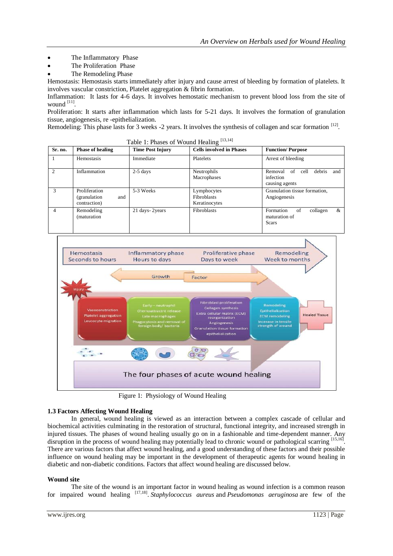- The Inflammatory Phase
- The Proliferation Phase
- The Remodeling Phase

Hemostasis: Hemostasis starts immediately after injury and cause arrest of bleeding by formation of platelets. It involves vascular constriction, Platelet aggregation & fibrin formation.

Inflammation: It lasts for 4-6 days. It involves hemostatic mechanism to prevent blood loss from the site of wound [11].

Proliferation: It starts after inflammation which lasts for 5-21 days. It involves the formation of granulation tissue, angiogenesis, re -epithelialization.

Remodeling: This phase lasts for 3 weeks -2 years. It involves the synthesis of collagen and scar formation [12].

| Sr. no.        | <b>Phase of healing</b>                               | <b>Time Post Injury</b> | <b>Cells involved in Phases</b>                    | <b>Function/Purpose</b>                                            |
|----------------|-------------------------------------------------------|-------------------------|----------------------------------------------------|--------------------------------------------------------------------|
|                | Hemostasis                                            | Immediate               | Platelets                                          | Arrest of bleeding                                                 |
| $\mathfrak{D}$ | Inflammation                                          | $2-5$ days              | Neutrophils<br>Macrophases                         | of cell<br>debris<br>Removal<br>and<br>infection<br>causing agents |
| 3              | Proliferation<br>(granulation)<br>and<br>contraction) | 5-3 Weeks               | Lymphocytes<br><b>Fibroblasts</b><br>Keratinocytes | Granulation tissue formation,<br>Angiogenesis                      |
| $\overline{4}$ | Remodeling<br>(maturation)                            | 21 days-2years          | Fibroblasts                                        | of<br>&<br>Formation<br>collagen<br>maturation of<br><b>Scars</b>  |

Table 1: Phases of Wound Healing  $[13,14]$ 



Figure 1: Physiology of Wound Healing

# **1.3 Factors Affecting Wound Healing**

In general, wound healing is viewed as an interaction between a complex cascade of cellular and biochemical activities culminating in the restoration of structural, functional integrity, and increased strength in injured tissues. The phases of wound healing usually go on in a fashionable and time-dependent manner. Any disruption in the process of wound healing may potentially lead to chronic wound or pathological scarring [15,16]. There are various factors that affect wound healing, and a good understanding of these factors and their possible influence on wound healing may be important in the development of therapeutic agents for wound healing in diabetic and non-diabetic conditions. Factors that affect wound healing are discussed below.

## **Wound site**

The site of the wound is an important factor in wound healing as wound infection is a common reason for impaired wound healing <sup>[17,18]</sup>. *Staphylococcus aureus* and *Pseudomonas aeruginosa* are few of the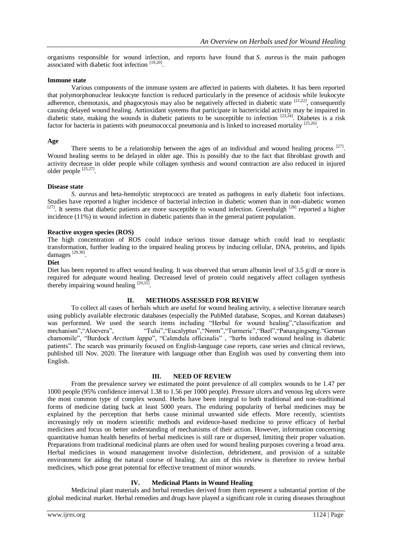organisms responsible for wound infection, and reports have found that *S. aureus* is the main pathogen associated with diabetic foot infection [19,20].

## **Immune state**

Various components of the immune system are affected in patients with diabetes. It has been reported that polymorphonuclear leukocyte function is reduced particularly in the presence of acidosis while leukocyte adherence, chemotaxis, and phagocytosis may also be negatively affected in diabetic state <sup>[21,22]</sup>, consequently causing delayed wound healing. Antioxidant systems that participate in bactericidal activity may be impaired in diabetic state, making the wounds in diabetic patients to be susceptible to infection [23,24]. Diabetes is a risk factor for bacteria in patients with pneumococcal pneumonia and is linked to increased mortality [25,26].

### **Age**

There seems to be a relationship between the ages of an individual and wound healing process  $[27]$ . Wound healing seems to be delayed in older age. This is possibly due to the fact that fibroblast growth and activity decrease in older people while collagen synthesis and wound contraction are also reduced in injured older people [25,27].

## **Disease state**

*S. aureus* and beta-hemolytic streptococci are treated as pathogens in early diabetic foot infections. Studies have reported a higher incidence of bacterial infection in diabetic women than in non-diabetic women  $[27]$ . It seems that diabetic patients are more susceptible to wound infection. Greenhalgh  $[28]$  reported a higher incidence (11%) in wound infection in diabetic patients than in the general patient population.

## **Reactive oxygen species (ROS)**

The high concentration of ROS could induce serious tissue damage which could lead to neoplastic transformation, further leading to the impaired healing process by inducing cellular, DNA, proteins, and lipids damages<sup>[29,30]</sup>.

## **Diet**

Diet has been reported to affect wound healing. It was observed that serum albumin level of 3.5 g/dl or more is required for adequate wound healing. Decreased level of protein could negatively affect collagen synthesis thereby impairing wound healing  $^{[29,31]}$ .

## **II. METHODS ASSESSED FOR REVIEW**

To collect all cases of herbals which are useful for wound healing activity, a selective literature search using publicly available electronic databases (especially the PubMed database, Scopus, and Korean databases) was performed. We used the search items including "Herbal for wound healing", "classification and mechanism", "Aloevera", "Tulsi", "Eucalyptus", "Neem", "Turmeric", "Bael", "Panaxgingseng. "German mechanism","Aloevera", "Tulsi","Eucalyptus","Neem","Turmeric","Bael","Panaxgingseng."German chamomile", "Burdock *Arctium lappa*", "Calendula officinalis" , "herbs induced wound healing in diabetic patients". The search was primarily focused on English-language case reports, case series and clinical reviews, published till Nov. 2020. The literature with language other than English was used by converting them into English.

#### **III. NEED OF REVIEW**

From the prevalence survey we estimated the point prevalence of all complex wounds to be 1.47 per 1000 people (95% confidence interval 1.38 to 1.56 per 1000 people). Pressure ulcers and venous leg ulcers were the most common type of complex wound. Herbs have been integral to both traditional and non-traditional forms of medicine dating back at least 5000 years. The enduring popularity of herbal medicines may be explained by the perception that herbs cause minimal unwanted side effects. More recently, scientists increasingly rely on modern scientific methods and evidence-based medicine to prove efficacy of herbal medicines and focus on better understanding of mechanisms of their action. However, information concerning quantitative human health benefits of herbal medicines is still rare or dispersed, limiting their proper valuation. Preparations from traditional medicinal plants are often used for wound healing purposes covering a broad area. Herbal medicines in wound management involve disinfection, debridement, and provision of a suitable environment for aiding the natural course of healing. An aim of this review is therefore to review herbal medicines, which pose great potential for effective treatment of minor wounds.

## **IV. Medicinal Plants in Wound Healing**

Medicinal plant materials and herbal remedies derived from them represent a substantial portion of the global medicinal market. Herbal remedies and drugs have played a significant role in curing diseases throughout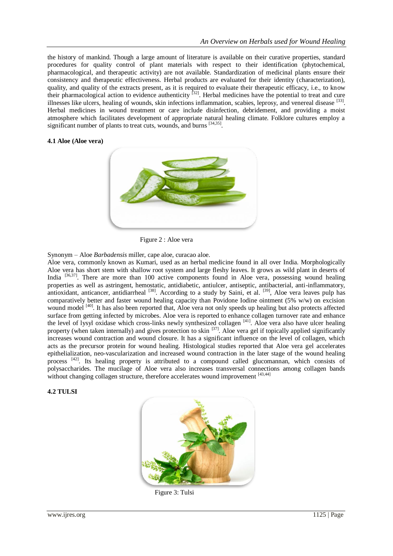the history of mankind. Though a large amount of literature is available on their curative properties, standard procedures for quality control of plant materials with respect to their identification (phytochemical, pharmacological, and therapeutic activity) are not available. Standardization of medicinal plants ensure their consistency and therapeutic effectiveness. Herbal products are evaluated for their identity (characterization), quality, and quality of the extracts present, as it is required to evaluate their therapeutic efficacy, i.e., to know their pharmacological action to evidence authenticity [32]. Herbal medicines have the potential to treat and cure illnesses like ulcers, healing of wounds, skin infections inflammation, scabies, leprosy, and venereal disease <sup>[33]</sup>. Herbal medicines in wound treatment or care include disinfection, debridement, and providing a moist atmosphere which facilitates development of appropriate natural healing climate. Folklore cultures employ a significant number of plants to treat cuts, wounds, and burns [34,35].

## **4.1 Aloe (Aloe vera)**



Figure 2 : Aloe vera

Synonym – Aloe *Barbadensis* miller, cape aloe, curacao aloe.

Aloe vera, commonly known as Kumari, used as an herbal medicine found in all over India. Morphologically Aloe vera has short stem with shallow root system and large fleshy leaves. It grows as wild plant in deserts of India <sup>[36,37]</sup>. There are more than 100 active components found in Aloe vera, possessing wound healing properties as well as astringent, hemostatic, antidiabetic, antiulcer, antiseptic, antibacterial, anti-inflammatory, antioxidant, anticancer, antidiarrheal  $^{[38]}$ . According to a study by Saini, et al.  $^{[39]}$ , Aloe vera leaves pulp has comparatively better and faster wound healing capacity than Povidone Iodine ointment (5% w/w) on excision wound model <sup>[40]</sup>. It has also been reported that, Aloe vera not only speeds up healing but also protects affected surface from getting infected by microbes. Aloe vera is reported to enhance collagen turnover rate and enhance the level of lysyl oxidase which cross-links newly synthesized collagen [41]. Aloe vera also have ulcer healing property (when taken internally) and gives protection to skin [37]. Aloe vera gel if topically applied significantly increases wound contraction and wound closure. It has a significant influence on the level of collagen, which acts as the precursor protein for wound healing. Histological studies reported that Aloe vera gel accelerates epithelialization, neo-vascularization and increased wound contraction in the later stage of the wound healing process  $[42]$ . Its healing property is attributed to a compound called glucomannan, which consists of polysaccharides. The mucilage of Aloe vera also increases transversal connections among collagen bands without changing collagen structure, therefore accelerates wound improvement [43,44]

#### **4.2 TULSI**



Figure 3: Tulsi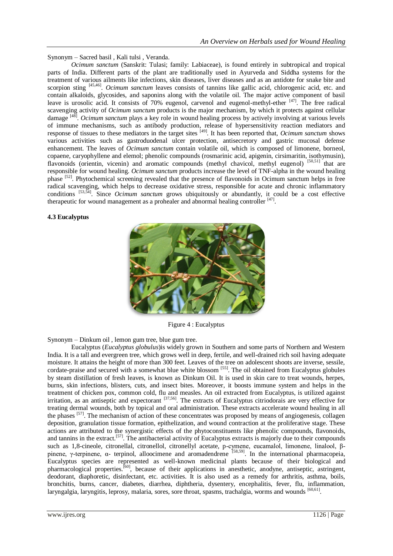Synonym – Sacred basil , Kali tulsi , Veranda.

*Ocimum sanctum* (Sanskrit: Tulasi; family: Labiaceae), is found entirely in subtropical and tropical parts of India. Different parts of the plant are traditionally used in Ayurveda and Siddha systems for the treatment of various ailments like infections, skin diseases, liver diseases and as an antidote for snake bite and scorpion sting <sup>[45,46]</sup>. *Ocimum sanctum* leaves consists of tannins like gallic acid, chlorogenic acid, etc. and contain alkaloids, glycosides, and saponins along with the volatile oil. The major active component of basil leave is urosolic acid. It consists of 70% eugenol, carvenol and eugenol-methyl-ether [47]. The free radical scavenging activity of *Ocimum sanctum* products is the major mechanism, by which it protects against cellular damage [48] . *Ocimum sanctum* plays a key role in wound healing process by actively involving at various levels of immune mechanisms, such as antibody production, release of hypersensitivity reaction mediators and response of tissues to these mediators in the target sites [49]. It has been reported that, *Ocimum sanctum* shows various activities such as gastroduodenal ulcer protection, antisecretory and gastric mucosal defense enhancement. The leaves of *Ocimum sanctum* contain volatile oil, which is composed of limonene, borneol, copaene, caryophyllene and elemol; phenolic compounds (rosmarinic acid, apigenin, cirsimaritin, isothymusin), flavonoids (orientin, vicenin) and aromatic compounds (methyl chavicol, methyl eugenol) [50,51] that are responsible for wound healing. *Ocimum sanctum* products increase the level of TNF-alpha in the wound healing phase [52]. Phytochemical screening revealed that the presence of flavonoids in Ocimum sanctum helps in free radical scavenging, which helps to decrease oxidative stress, responsible for acute and chronic inflammatory conditions [53,54]. Since *Ocimum sanctum* grows ubiquitously or abundantly, it could be a cost effective therapeutic for wound management as a prohealer and abnormal healing controller  $^{[47]}$ .

## **4.3 Eucalyptus**



Figure 4 : Eucalyptus

Synonym – Dinkum oil , lemon gum tree, blue gum tree.

Eucalyptus (*Eucalyptus globulus*)is widely grown in Southern and some parts of Northern and Western India. It is a tall and evergreen tree, which grows well in deep, fertile, and well-drained rich soil having adequate moisture. It attains the height of more than 300 feet. Leaves of the tree on adolescent shoots are inverse, sessile, cordate-praise and secured with a somewhat blue white blossom [55]. The oil obtained from Eucalyptus globules by steam distillation of fresh leaves, is known as Dinkum Oil. It is used in skin care to treat wounds, herpes, burns, skin infections, blisters, cuts, and insect bites. Moreover, it boosts immune system and helps in the treatment of chicken pox, common cold, flu and measles. An oil extracted from Eucalyptus, is utilized against irritation, as an antiseptic and expectorant [37,56]. The extracts of Eucalyptus citriodorais are very effective for treating dermal wounds, both by topical and oral administration. These extracts accelerate wound healing in all the phases [57]. The mechanism of action of these concentrates was proposed by means of angiogenesis, collagen deposition, granulation tissue formation, epithelization, and wound contraction at the proliferative stage. These actions are attributed to the synergistic effects of the phytoconstituents like phenolic compounds, flavonoids, and tannins in the extract.[57]. The antibacterial activity of Eucalyptus extracts is majorly due to their compounds such as 1,8-cineole, citronellal, citronellol, citronellyl acetate, p-cymene, eucamalol, limonene, linalool, βpinene, γ-terpinene, α- terpinol, alloocimene and aromadendrene [58,59]. In the international pharmacopeia, Eucalyptus species are represented as well-known medicinal plants because of their biological and pharmacological properties.[60], because of their applications in anesthetic, anodyne, antiseptic, astringent, deodorant, diaphoretic, disinfectant, etc. activities. It is also used as a remedy for arthritis, asthma, boils, bronchitis, burns, cancer, diabetes, diarrhea, diphtheria, dysentery, encephalitis, fever, flu, inflammation, laryngalgia, laryngitis, leprosy, malaria, sores, sore throat, spasms, trachalgia, worms and wounds [60,61].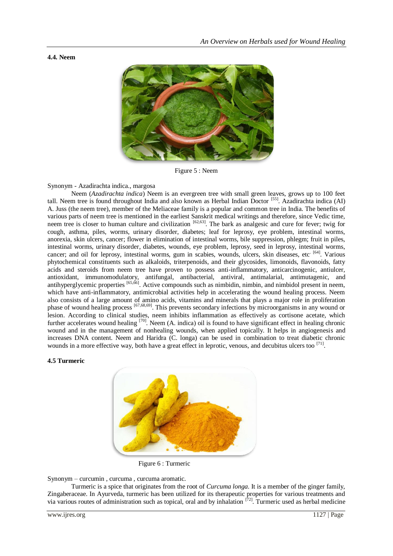## **4.4. Neem**



Figure 5 : Neem

# Synonym - Azadirachta indica., margosa

Neem (*Azadirachta indica*) Neem is an evergreen tree with small green leaves, grows up to 100 feet tall. Neem tree is found throughout India and also known as Herbal Indian Doctor [55]. Azadirachta indica (AI) A. Juss (the neem tree), member of the Meliaceae family is a popular and common tree in India. The benefits of various parts of neem tree is mentioned in the earliest Sanskrit medical writings and therefore, since Vedic time, neem tree is closer to human culture and civilization  $[62,63]$ . The bark as analgesic and cure for fever; twig for cough, asthma, piles, worms, urinary disorder, diabetes; leaf for leprosy, eye problem, intestinal worms, anorexia, skin ulcers, cancer; flower in elimination of intestinal worms, bile suppression, phlegm; fruit in piles, intestinal worms, urinary disorder, diabetes, wounds, eye problem, leprosy, seed in leprosy, intestinal worms, cancer; and oil for leprosy, intestinal worms, gum in scabies, wounds, ulcers, skin diseases, etc<sup>. [64]</sup>. Various phytochemical constituents such as alkaloids, triterpenoids, and their glycosides, limonoids, flavonoids, fatty acids and steroids from neem tree have proven to possess anti-inflammatory, anticarcinogenic, antiulcer, antioxidant, immunomodulatory, antifungal, antibacterial, antiviral, antimalarial, antimutagenic, and antihyperglycemic properties <sup>[65,66]</sup>. Active compounds such as nimbidin, nimbin, and nimbidol present in neem, which have anti-inflammatory, antimicrobial activities help in accelerating the wound healing process. Neem also consists of a large amount of amino acids, vitamins and minerals that plays a major role in proliferation phase of wound healing process [67,68,69]. This prevents secondary infections by microorganisms in any wound or lesion. According to clinical studies, neem inhibits inflammation as effectively as cortisone acetate, which further accelerates wound healing <sup>[70]</sup>. Neem (A. indica) oil is found to have significant effect in healing chronic wound and in the management of nonhealing wounds, when applied topically. It helps in angiogenesis and increases DNA content. Neem and Haridra (C. longa) can be used in combination to treat diabetic chronic wounds in a more effective way, both have a great effect in leprotic, venous, and decubitus ulcers too [71].

## **4.5 Turmeric**



Figure 6 : Turmeric

Synonym – curcumin , curcuma , curcuma aromatic.

Turmeric is a spice that originates from the root of *Curcuma longa*. It is a member of the ginger family, Zingaberaceae. In Ayurveda, turmeric has been utilized for its therapeutic properties for various treatments and via various routes of administration such as topical, oral and by inhalation [72]. Turmeric used as herbal medicine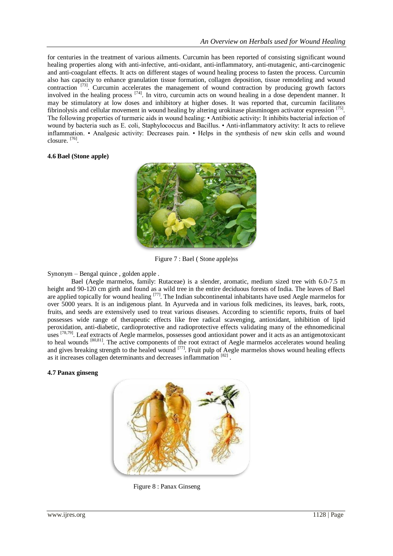for centuries in the treatment of various ailments. Curcumin has been reported of consisting significant wound healing properties along with anti-infective, anti-oxidant, anti-inflammatory, anti-mutagenic, anti-carcinogenic and anti-coagulant effects. It acts on different stages of wound healing process to fasten the process. Curcumin also has capacity to enhance granulation tissue formation, collagen deposition, tissue remodeling and wound contraction [73]. Curcumin accelerates the management of wound contraction by producing growth factors involved in the healing process <sup>[74]</sup>. In vitro, curcumin acts on wound healing in a dose dependent manner. It may be stimulatory at low doses and inhibitory at higher doses. It was reported that, curcumin facilitates fibrinolysis and cellular movement in wound healing by altering urokinase plasminogen activator expression [75]. The following properties of turmeric aids in wound healing: • Antibiotic activity: It inhibits bacterial infection of wound by bacteria such as E. coli, Staphylococcus and Bacillus. • Anti-inflammatory activity: It acts to relieve inflammation. • Analgesic activity: Decreases pain. • Helps in the synthesis of new skin cells and wound closure. [76] .

## **4.6 Bael (Stone apple)**



Figure 7 : Bael ( Stone apple)ss

# Synonym – Bengal quince , golden apple .

Bael (Aegle marmelos, family: Rutaceae) is a slender, aromatic, medium sized tree with 6.0-7.5 m height and 90-120 cm girth and found as a wild tree in the entire deciduous forests of India. The leaves of Bael are applied topically for wound healing <sup>[77]</sup>. The Indian subcontinental inhabitants have used Aegle marmelos for over 5000 years. It is an indigenous plant. In Ayurveda and in various folk medicines, its leaves, bark, roots, fruits, and seeds are extensively used to treat various diseases. According to scientific reports, fruits of bael possesses wide range of therapeutic effects like free radical scavenging, antioxidant, inhibition of lipid peroxidation, anti-diabetic, cardioprotective and radioprotective effects validating many of the ethnomedicinal uses <sup>[78,79]</sup>. Leaf extracts of Aegle marmelos, possesses good antioxidant power and it acts as an antigenotoxicant to heal wounds <sup>[80,81]</sup>. The active components of the root extract of Aegle marmelos accelerates wound healing and gives breaking strength to the healed wound <sup>[77]</sup>. Fruit pulp of Aegle marmelos shows wound healing effects as it increases collagen determinants and decreases inflammation [82].

## **4.7 Panax ginseng**



Figure 8 : Panax Ginseng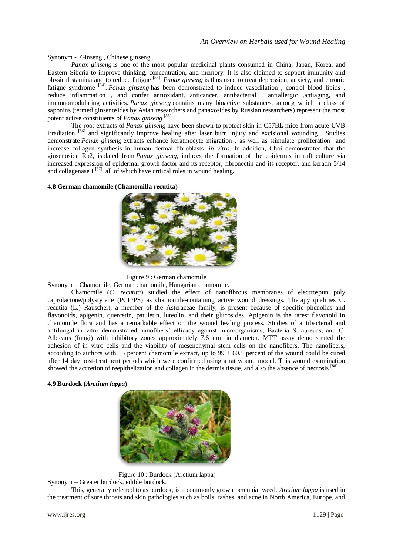Synonym - Ginseng , Chinese ginseng .

*Panax ginseng* is one of the most popular medicinal plants consumed in China, Japan, Korea, and Eastern Siberia to improve thinking, concentration, and memory. It is also claimed to support immunity and physical stamina and to reduce fatigue<sup>[83]</sup>. *Panax ginseng* is thus used to treat depression, anxiety, and chronic fatigue syndrome <sup>[84]</sup>. *Panax ginseng* has been demonstrated to induce vasodilation, control blood lipids, reduce inflammation , and confer antioxidant, anticancer, antibacterial , antiallergic ,antiaging, and immunomodulating activities. *Panax ginseng* contains many bioactive substances, among which a class of saponins (termed ginsenosides by Asian researchers and panaxosides by Russian researchers) represent the most potent active constituents of *Panax ginseng*<sup>[85]</sup>.

The root extracts of *Panax ginseng* have been shown to protect skin in C57BL mice from acute UVB irradiation [86] and significantly improve healing after laser burn injury and excisional wounding . Studies demonstrate *Panax ginseng* extracts enhance keratinocyte migration , as well as stimulate proliferation and increase collagen synthesis in human dermal fibroblasts *in vitro*. In addition, Choi demonstrated that the ginsenoside Rb2, isolated from *Panax ginseng*, induces the formation of the epidermis in raft culture via increased expression of epidermal growth factor and its receptor, fibronectin and its receptor, and keratin 5/14 and collagenase I <sup>[87]</sup>, all of which have critical roles in wound healing.

**4.8 German chamomile (Chamomilla recutita)** 





Synonym – Chamomile, German chamomile, Hungarian chamomile.

Chamomile (*C. recutita*) studied the effect of nanofibrous membranes of electrospun poly caprolactone/polystyrene (PCL/PS) as chamomile-containing active wound dressings. Therapy qualities C. recutita (L.) Rauschert, a member of the Asteraceae family, is present because of specific phenolics and flavonoids, apigenin, quercetin, patuletin, luteolin, and their glucosides. Apigenin is the rarest flavonoid in chamomile flora and has a remarkable effect on the wound healing process. Studies of antibacterial and antifungal in vitro demonstrated nanofibers' efficacy against microorganisms, Bacteria S. aureuas, and C. Albicans (fungi) with inhibitory zones approximately 7.6 mm in diameter. MTT assay demonstrated the adhesion of in vitro cells and the viability of mesenchymal stem cells on the nanofibers. The nanofibers, according to authors with 15 percent chamomile extract, up to  $99 \pm 60.5$  percent of the wound could be cured after 14 day post-treatment periods which were confirmed using a rat wound model. This wound examination showed the accretion of reepithelization and collagen in the dermis tissue, and also the absence of necrosis [88].

**4.9 Burdock (***Arctium lappa***)**



Figure 10 : Burdock (Arctium lappa)

Synonym – Greater burdock, edible burdock.

This, generally referred to as burdock, is a commonly grown perennial weed. *Arctium lappa* is used in the treatment of sore throats and skin pathologies such as boils, rashes, and acne in North America, Europe, and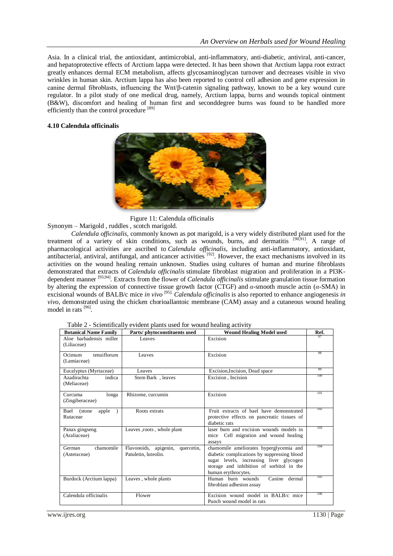Asia. In a clinical trial, the antioxidant, antimicrobial, anti-inflammatory, anti-diabetic, antiviral, anti-cancer, and hepatoprotective effects of Arctium lappa were detected. It has been shown that Arctium lappa root extract greatly enhances dermal ECM metabolism, affects glycosaminoglycan turnover and decreases visible in vivo wrinkles in human skin. Arctium lappa has also been reported to control cell adhesion and gene expression in canine dermal fibroblasts, influencing the Wnt/β-catenin signaling pathway, known to be a key wound cure regulator. In a pilot study of one medical drug, namely, Arctium lappa, burns and wounds topical ointment (B&W), discomfort and healing of human first and seconddegree burns was found to be handled more efficiently than the control procedure [89]

## **4.10 Calendula officinalis**



Figure 11: Calendula officinalis

Synonym – Marigold , ruddles , scotch marigold.

*Calendula officinalis*, commonly known as pot marigold, is a very widely distributed plant used for the treatment of a variety of skin conditions, such as wounds, burns, and dermatitis <sup>[90,91]</sup>. A range of pharmacological activities are ascribed to *Calendula officinalis*, including anti-inflammatory, antioxidant, antibacterial, antiviral, antifungal, and anticancer activities <sup>[92]</sup>. However, the exact mechanisms involved in its activities on the wound healing remain unknown. Studies using cultures of human and murine fibroblasts demonstrated that extracts of *Calendula officinalis* stimulate fibroblast migration and proliferation in a PI3Kdependent manner [93,94]. Extracts from the flower of *Calendula officinalis* stimulate granulation tissue formation by altering the expression of connective tissue growth factor (CTGF) and *α*-smooth muscle actin (*α*-SMA) in excisional wounds of BALB/c mice *in vivo* [95]. *Calendula officinalis* is also reported to enhance angiogenesis *in vivo*, demonstrated using the chicken chorioallantoic membrane (CAM) assay and a cutaneous wound healing model in rats [96].

| <b>Botanical Name Family</b>           | Parts/phytoconstituents used                                | <b>Wound Healing Model used</b>                                                                                                                                                                       | Ref. |
|----------------------------------------|-------------------------------------------------------------|-------------------------------------------------------------------------------------------------------------------------------------------------------------------------------------------------------|------|
| Aloe barbadensis miller<br>(Liliaceae) | Leaves                                                      | Excision                                                                                                                                                                                              |      |
| Ocimum<br>tenuiflorum<br>(Lamiaceae)   | Leaves                                                      | Excision                                                                                                                                                                                              | 98   |
| Eucalyptus (Myrtaceae)                 | Leaves                                                      | Excision, Incision, Dead space                                                                                                                                                                        | 99   |
| Azadirachta<br>indica<br>(Meliaceae)   | Stem Bark, leaves                                           | Excision, Incision                                                                                                                                                                                    | 100  |
| Curcuma<br>longa<br>(Zingiberaceae)    | Rhizome, curcumin                                           | Excision                                                                                                                                                                                              | 101  |
| Bael<br>(stone)<br>apple<br>Rutaceae   | Roots extrats                                               | Fruit extracts of bael have demonstrated<br>protective effects on pancreatic tissues of<br>diabetic rats                                                                                              | 102  |
| Panax gingseng<br>(Araliaceae)         | Leaves, roots, whole plant                                  | laser burn and excision wounds models in<br>mice Cell migration and wound healing<br>assays                                                                                                           | 103  |
| chamomile<br>German<br>(Asteraceae)    | Flavonoids, apigenin,<br>quercetin,<br>Patuletin, luteolin. | chamomile ameliorates hyperglycemia and<br>diabetic complications by suppressing blood<br>sugar levels, increasing liver glycogen<br>storage and inhibition of sorbitol in the<br>human erythrocytes. | 104  |
| Burdock (Arctium lappa)                | Leaves, whole plants                                        | Canine<br>Human burn wounds<br>dermal<br>fibroblast adhesion assay                                                                                                                                    | 105  |
| Calendula officinalis                  | Flower                                                      | Excision wound model in BALB/c mice<br>Punch wound model in rats                                                                                                                                      | 106  |

Table 2 - Scientifically evident plants used for wound healing activity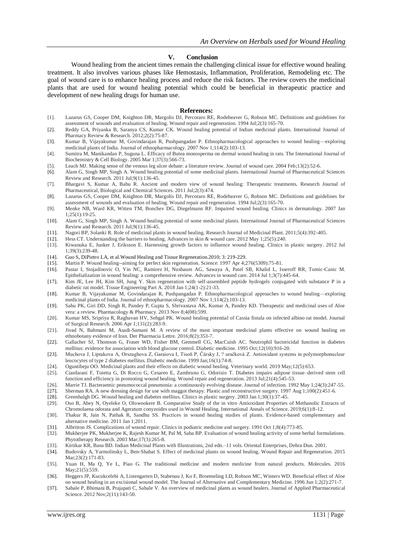#### **V. Conclusion**

Wound healing from the ancient times remain the challenging clinical issue for effective wound healing treatment. It also involves various phases like Hemostasis, Inflammation, Proliferation, Remodeling etc. The goal of wound care is to enhance healing process and reduce the risk factors. The review covers the medicinal plants that are used for wound healing potential which could be beneficial in therapeutic practice and development of new healing drugs for human use.

#### **References:**

- [1]. Lazarus GS, Cooper DM, Knighton DR, Margolis DJ, Percoraro RE, Rodeheaver G, Robson MC. Definitions and guidelines for assessment of wounds and evaluation of healing. Wound repair and regeneration. 1994 Jul;2(3):165-70.
- [2]. Reddy GA, Priyanka B, Saranya CS, Kumar CK. Wound healing potential of Indian medicinal plants. International Journal of Pharmacy Review & Research. 2012;2(2):75-87.
- [3]. Kumar B, Vijayakumar M, Govindarajan R, Pushpangadan P. Ethnopharmacological approaches to wound healing—exploring medicinal plants of India. Journal of ethnopharmacology. 2007 Nov 1;114(2):103-13.
- [4]. Sumitra M, Manikandan P, Suguna L. Efficacy of Butea monosperma on dermal wound healing in rats. The International Journal of Biochemistry & Cell Biology. 2005 Mar 1;37(3):566-73.
- [5]. Leach MJ. Making sense of the venous leg ulcer debate: a literature review. Journal of wound care. 2004 Feb;13(2):52-6.
- [6]. Alam G, Singh MP, Singh A. Wound healing potential of some medicinal plants. International Journal of Pharmaceutical Sciences Review and Research. 2011 Jul;9(1):136-45.
- [7]. Bhargavi S, Kumar A, Babu R. Ancient and modern view of wound healing: Therapeutic treatments. Research Journal of Pharmaceutical, Biological and Chemical Sciences. 2011 Jul;2(3):474.
- [8]. Lazarus GS, Cooper DM, Knighton DR, Margolis DJ, Percoraro RE, Rodeheaver G, Robson MC. Definitions and guidelines for assessment of wounds and evaluation of healing. Wound repair and regeneration. 1994 Jul;2(3):165-70.
- [9]. Menke NB, Ward KR, Witten TM, Bonchev DG, Diegelmann RF. Impaired wound healing. Clinics in dermatology. 2007 Jan 1;25(1):19-25.
- [10]. Alam G, Singh MP, Singh A. Wound healing potential of some medicinal plants. International Journal of Pharmaceutical Sciences Review and Research. 2011 Jul;9(1):136-45.
- [11]. Nagori BP, Solanki R. Role of medicinal plants in wound healing. Research Journal of Medicinal Plant. 2011;5(4):392-405.
- [12]. Hess CT. Understanding the barriers to healing. Advances in skin & wound care. 2012 May 1;25(5):240.
- [13]. Kiwanuka E, Junker J, Eriksson E. Harnessing growth factors to influence wound healing. Clinics in plastic surgery. 2012 Jul 1;39(3):239-48.
- [14]. Guo S, DiPietro LA, et al. Wound Healing and Tissue Regeneration. 2010; 3: 219-229.<br>[15]. Martin P. Wound healing--aiming for perfect skin regeneration. Science. 1997 Apr 4;2
- Martin P. Wound healing--aiming for perfect skin regeneration. Science. 1997 Apr 4;276(5309):75-81.
- [16]. Pastar I, Stojadinovic O, Yin NC, Ramirez H, Nusbaum AG, Sawaya A, Patel SB, Khalid L, Isseroff RR, Tomic-Canic M. Epithelialization in wound healing: a comprehensive review. Advances in wound care. 2014 Jul 1;3(7):445-64.
- [17]. Kim JE, Lee JH, Kim SH, Jung Y. Skin regeneration with self-assembled peptide hydrogels conjugated with substance P in a diabetic rat model. Tissue Engineering Part A. 2018 Jan 1;24(1-2):21-33.
- [18]. Kumar B, Vijayakumar M, Govindarajan R, Pushpangadan P. Ethnopharmacological approaches to wound healing—exploring medicinal plants of India. Journal of ethnopharmacology. 2007 Nov 1;114(2):103-13.
- [19]. Sahu PK, Giri DD, Singh R, Pandey P, Gupta S, Shrivastava AK, Kumar A, Pandey KD. Therapeutic and medicinal uses of Aloe vera: a review. Pharmacology & Pharmacy. 2013 Nov 8;4(08):599.
- [20]. Kumar MS, Sripriya R, Raghavan HV, Sehgal PK. Wound healing potential of Cassia fistula on infected albino rat model. Journal of Surgical Research. 2006 Apr 1;131(2):283-9.
- [21]. Jivad N, Bahmani M, Asadi-Samani M. A review of the most important medicinal plants effective on wound healing on ethnobotany evidence of Iran. Der Pharmacia Lettre. 2016;8(2):353-7.
- [22]. Gallacher SJ, Thomson G, Fraser WD, Fisher BM, Gemmell CG, MacCuish AC. Neutrophil bactericidal function in diabetes mellitus: evidence for association with blood glucose control. Diabetic medicine. 1995 Oct;12(10):916-20.
- [23]. Muchova J, Liptakova A, Orszaghova Z, Garaiova I, Tisoň P, Čársky J, ? uračková Z. Antioxidant systems in polymorphonuclear leucocytes of type 2 diabetes mellitus. Diabetic medicine. 1999 Jan;16(1):74-8.
- 
- [24]. Oguntibeju OO. Medicinal plants and their effects on diabetic wound healing. Veterinary world. 2019 May;12(5):653.<br>[25]. Cianfarani F, Toietta G, Di Rocco G, Cesareo E, Zambruno G, Odorisio T. Diabetes impairs adipos [25]. Cianfarani F, Toietta G, Di Rocco G, Cesareo E, Zambruno G, Odorisio T. Diabetes impairs adipose tissue–derived stem cell function and efficiency in promoting wound healing. Wound repair and regeneration. 2013 Jul;21(4):545-53.
- [26]. Marrie TJ. Bacteraemic pneumococcal pneumonia: a continuously evolving disease. Journal of infection. 1992 May 1;24(3):247-55.
- [27]. Sherman RA. A new dressing design for use with maggot therapy. Plastic and reconstructive surgery. 1997 Aug 1;100(2):451-6.
- [28]. Greenhalgh DG. Wound healing and diabetes mellitus. Clinics in plastic surgery. 2003 Jan 1;30(1):37-45.
- [29]. Oso B, Abey N, Oyeleke O, Olowookere B. Comparative Study of the in vitro Antioxidant Properties of Methanolic Extracts of Chromolaena odorata and Ageratum conyzoides used in Wound Healing. International Annals of Science. 2019;6(1):8-12.
- [30]. Thakur R, Jain N, Pathak R, Sandhu SS. Practices in wound healing studies of plants. Evidence-based complementary and alternative medicine. 2011 Jan 1;2011.
- [31]. Albritton JS. Complications of wound repair. Clinics in podiatric medicine and surgery. 1991 Oct 1;8(4):773-85.
- [32]. Mukherjee PK, Mukherjee K, Rajesh Kumar M, Pal M, Saha BP. Evaluation of wound healing activity of some herbal formulations. Phytotherapy Research. 2003 Mar;17(3):265-8.
- [33]. Kirtikar KR, Basu BD. Indian Medicinal Plants with Illustrations, 2nd edn.–11 vols. Oriental Enterprises, Dehra Dun. 2001.
- [34]. Budovsky A, Yarmolinsky L, Ben‐Shabat S. Effect of medicinal plants on wound healing. Wound Repair and Regeneration. 2015 Mar; 23(2): 171-83.
- [35]. Yuan H, Ma Q, Ye L, Piao G. The traditional medicine and modern medicine from natural products. Molecules. 2016 May;21(5):559.
- [36]. Heggers JP, Kucukcelebi A, Listengarten D, Stabenau J, Ko F, Broemeling LD, Robson MC, Winters WD. Beneficial effect of Aloe on wound healing in an excisional wound model. The Journal of Alternative and Complementary Medicine. 1996 Jun 1;2(2):271-7.
- [37]. Sabale P, Bhimani B, Prajapati C, Sabale V. An overview of medicinal plants as wound healers. Journal of Applied Pharmaceutical Science. 2012 Nov;2(11):143-50.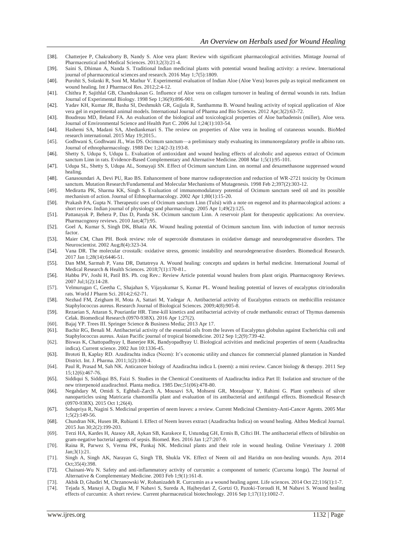- [38]. Chatterjee P, Chakraborty B, Nandy S. Aloe vera plant: Review with significant pharmacological activities. Mintage Journal of Pharmaceutical and Medical Sciences. 2013;2(3):21-4.
- [39]. Saini S, Dhiman A, Nanda S. Traditional Indian medicinal plants with potential wound healing activity: a review. International journal of pharmaceutical sciences and research. 2016 May 1;7(5):1809.
- [40]. Purohit S, Solanki R, Soni M, Mathur V. Experimental evaluation of Indian Aloe (Aloe Vera) leaves pulp as topical medicament on wound healing. Int J Pharmacol Res. 2012;2:4-12.
- [41]. Chithra P, Sajithlal GB, Chandrakasan G. Influence of Aloe vera on collagen turnover in healing of dermal wounds in rats. Indian Journal of Experimental Biology. 1998 Sep 1;36(9):896-901.
- [42]. Yadav KH, Kumar JR, Basha SI, Deshmukh GR, Gujjula R, Santhamma B. Wound healing activity of topical application of Aloe vera gel in experimental animal models. International Journal of Pharma and Bio Sciences. 2012 Apr;3(2):63-72.
- [43]. Boudreau MD, Beland FA. An evaluation of the biological and toxicological properties of Aloe barbadensis (miller), Aloe vera. Journal of Environmental Science and Health Part C. 2006 Jul 1;24(1):103-54.
- [44]. Hashemi SA, Madani SA, Abediankenari S. The review on properties of Aloe vera in healing of cutaneous wounds. BioMed research international. 2015 May 19;2015..
- [45]. Godhwani S, Godhwani JL, Was DS. Ocimum sanctum—a preliminary study evaluating its immunoregulatory profile in albino rats. Journal of ethnopharmacology. 1988 Dec 1;24(2-3):193-8.
- [46]. Shetty S, Udupa S, Udupa L. Evaluation of antioxidant and wound healing effects of alcoholic and aqueous extract of Ocimum sanctum Linn in rats. Evidence-Based Complementary and Alternative Medicine. 2008 Mar 1;5(1):95-101.
- [47]. Udupa SL, Shetty S, Udupa AL, Somayaji SN. Effect of Ocimum sanctum Linn. on normal and dexamethasone suppressed wound healing.
- [48]. Ganasoundari A, Devi PU, Rao BS. Enhancement of bone marrow radioprotection and reduction of WR-2721 toxicity by Ocimum sanctum. Mutation Research/Fundamental and Molecular Mechanisms of Mutagenesis. 1998 Feb 2;397(2):303-12.
- [49]. Mediratta PK, Sharma KK, Singh S. Evaluation of immunomodulatory potential of Ocimum sanctum seed oil and its possible mechanism of action. Journal of Ethnopharmacology. 2002 Apr 1;80(1):15-20.
- [50]. Prakash PA, Gupta N. Therapeutic uses of Ocimum sanctum Linn (Tulsi) with a note on eugenol and its pharmacological actions: a short review. Indian journal of physiology and pharmacology. 2005 Apr 1;49(2):125.
- [51]. Pattanayak P, Behera P, Das D, Panda SK. Ocimum sanctum Linn. A reservoir plant for therapeutic applications: An overview. Pharmacognosy reviews. 2010 Jan;4(7):95.
- [52]. Goel A, Kumar S, Singh DK, Bhatia AK. Wound healing potential of Ocimum sanctum linn. with induction of tumor necrosis factor
- [53]. Maier CM, Chan PH. Book review: role of superoxide dismutases in oxidative damage and neurodegenerative disorders. The Neuroscientist. 2002 Aug;8(4):323-34.
- [54]. Vana DR. The molecular crosstalk: oxidative stress, genomic instability and neurodegenerative disorders. Biomedical Research. 2017 Jan 1;28(14):6446-51.
- [55]. Dan MM, Sarmah P, Vana DR, Dattatreya A. Wound healing: concepts and updates in herbal medicine. International Journal of Medical Research & Health Sciences. 2018;7(1):170-81..
- [56]. Habbu PV, Joshi H, Patil BS. Ph. cog Rev.: Review Article potential wound healers from plant origin. Pharmacognosy Reviews. 2007 Jul;1(2):14-28.
- [57]. Velmurugan C, Geetha C, Shajahan S, Vijayakumar S, Kumar PL. Wound healing potential of leaves of eucalyptus citriodoralin rats. World J Pharm Sci. 2014;2:62-71.
- [58]. Nezhad FM, Zeigham H, Mota A, Sattari M, Yadegar A. Antibacterial activity of Eucalyptus extracts on methicillin resistance Staphylococcus aureus. Research Journal of Biological Sciences. 2009;4(8):905-8.
- [59]. Rezaeian S, Attaran S, Pourianfar HR. Time-kill kinetics and antibacterial activity of crude methanolic extract of Thymus daenensis Celak. Biomedical Research (0970-938X). 2016 Apr 1;27(2).
- [60]. Bajaj YP. Trees III. Springer Science & Business Media; 2013 Apr 17.
- [61]. Bachir RG, Benali M. Antibacterial activity of the essential oils from the leaves of Eucalyptus globulus against Escherichia coli and Staphylococcus aureus. Asian Pacific journal of tropical biomedicine. 2012 Sep 1;2(9):739-42.
- [62]. Biswas K, Chattopadhyay I, Banerjee RK, Bandyopadhyay U. Biological activities and medicinal properties of neem (Azadirachta indica). Current science. 2002 Jun 10:1336-45.
- [63]. Brototi B, Kaplay RD. Azadirachta indica (Neem): It's economic utility and chances for commercial planned plantation in Nanded District. Int. J. Pharma. 2011;1(2):100-4.
- [64]. Paul R, Prasad M, Sah NK. Anticancer biology of Azadirachta indica L (neem): a mini review. Cancer biology & therapy. 2011 Sep 15;12(6):467-76.
- [65]. Siddiqui S, Siddiqui BS, Faizi S. Studies in the Chemical Constituents of Azadirachta indica Part II: Isolation and structure of the new triterpenoid azadirachtol. Planta medica. 1985 Dec;51(06):478-80.
- [66]. Negahdary M, Omidi S, Eghbali-Zarch A, Mousavi SA, Mohseni GR, Moradpour Y, Rahimi G. Plant synthesis of silver nanoparticles using Matricaria chamomilla plant and evaluation of its antibacterial and antifungal effects. Biomedical Resear ch (0970-938X). 2015 Oct 1;26(4).
- [67]. Subapriya R, Nagini S. Medicinal properties of neem leaves: a review. Current Medicinal Chemistry-Anti-Cancer Agents. 2005 Mar 1;5(2):149-56.
- [68]. Chundran NK, Husen IR, Rubianti I. Effect of Neem leaves extract (Azadirachta Indica) on wound healing. Althea Medical Journal. 2015 Jun 30;2(2):199-203.
- [69]. Terzi HA, Kardes H, Atasoy AR, Aykan SB, Karakece E, Ustundag GH, Ermis B, Ciftci IH. The antibacterial effects of bilirubin on gram-negative bacterial agents of sepsis. Biomed. Res. 2016 Jan 1;27:207-9.
- [70]. Raina R, Parwez S, Verma PK, Pankaj NK. Medicinal plants and their role in wound healing. Online Veterinary J. 2008 Jan;3(1):21.
- [71]. Singh A, Singh AK, Narayan G, Singh TB, Shukla VK. Effect of Neem oil and Haridra on non-healing wounds. Ayu. 2014 Oct;35(4):398.
- [72]. Chainani-Wu N. Safety and anti-inflammatory activity of curcumin: a component of tumeric (Curcuma longa). The Journal of Alternative & Complementary Medicine. 2003 Feb 1;9(1):161-8.
- [73]. Akbik D, Ghadiri M, Chrzanowski W, Rohanizadeh R. Curcumin as a wound healing agent. Life sciences. 2014 Oct 22;116(1):1-7.
- [74]. Tejada S, Manayi A, Daglia M, F Nabavi S, Sureda A, Hajheydari Z, Gortzi O, Pazoki-Toroudi H, M Nabavi S. Wound healing effects of curcumin: A short review. Current pharmaceutical biotechnology. 2016 Sep 1;17(11):1002-7.